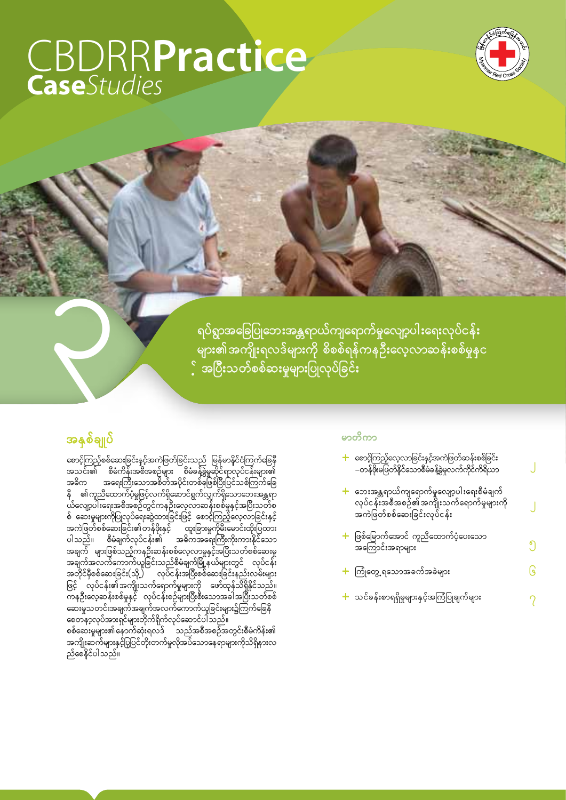# **CBDRRPractice**



ရပ်ရွာအခြေပြုဘေးအန္တရာယ်ကျရောက်မှုလျော့ပါးရေးလုပ်ငန်း ု<br>များ၏အကျိုးရလဒ်များကို စိစစ်ရန်ကနဦးလေ့လာဆန်းစစ်မှုနှင ့် အပြီးသတ်စစ်ဆးမှုများပြုလုပ်ခြင်း

# အနှစ်ချုပ်

စောင့်ကြည့်စစ်ဆေးခြင်းနှင့်အကဲဖြတ်ခြင်းသည် မြန်မာနိုင်ငံကြက်ခြေနီ<br>အသင်း၏ စီမံကိန်းအစီအစဉ်များ စီမံခန့်ခွဲမှုဆိုင်ရာလုပ်ငန်းများ၏<br>အဓိက အရေးကြီးသောအစိတ်အပိုင်းတစ်ခုဖြစ်ပြီးပြင်သစ်ကြက်ခြေ အဓိက အရေးကြီးသောအစိတ်အပိုင်းတစ်ခုဖြစ်ပြီးပြင်သစ်ကြွက်ခြေ<br>နီ ၏ကူညီထောက်ပံ့မှုဖြင့်လက်ရှိဆောင်ရွက်လျှက်ရှိသောဘေးအန္တရာ<br>ယ်လျော့ပါးရေးအစီအစဉ်တွင်ကနဦးလေ့လာဆန်းစစ်မှုနှင့်အပြီးသတ်စ<br>စ် ဆေးမှုများကိုပြုလုပ်ရေးဆွဲထားခြင်းဖြင့် စော ည်စေနိုင်ပါသည်။

#### မာတိကာ

| <mark>+</mark> စောင့်ကြည့်လေ့လာခြင်းနှင့်အကဲဖြတ်ဆန်းစစ်ခြင်း<br>–တန်ဖိုးမဖြတ်နိုင်သောစီမံခန့်ခွဲမှုလက်ကိုင်ကိရိယာ                 |   |
|-----------------------------------------------------------------------------------------------------------------------------------|---|
| <mark>+</mark> ဘေးအန္တရာယ်ကျရောက်မှုလျော့ပါးရေးစီမံချက်<br>လုပ်ငန်းအစီအစဉ်၏အကျိုးသက်ရောက်မှုများကို<br>အကဲဖြတ်စစ်ဆေးခြင်းလုပ်ငန်း |   |
| <del>၂ ဖြစ်</del> မြောက်အောင် ကူညီထောက်ပံ့ပေးသော<br>အကြောင်းအရာများ                                                               | ၅ |
| <del>ႜ</del> ႝႝႃၮႝ႞ၯေၘရသောအခက်အခဲများ                                                                                             | ၆ |
| ╋ သင်ခန်းစာရရှိမှုများနှင့်အကြံပြုချက်များ                                                                                        |   |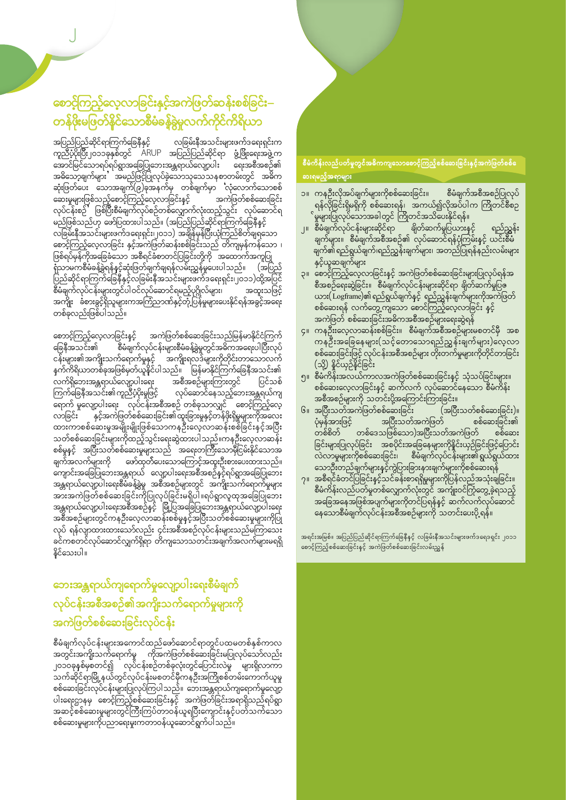# စောင့်ကြည့်လေ့လာခြင်းနှင့်အကဲဖြတ်ဆန်းစစ်ခြင်း– တန်ဖိုးမဖြတ်နိုင်သောစီမံခန့်ခွဲမှုလက်ကိုင်ကိရိယာ

ာပြည်ပြည်ဆိုင်ရာကြက်ခြေနီနှင့် လခြမ်းနီအသင်းများဖက်ဒရေးရှင်းက<br>ကူညီပံ့ပိုးပြီး၂၀၁၁ခုနှစ်တွင် ARUP အပြည်ပြည်ဆိုင်ရာ ဖွံ့ဖြိုးရေးအဖွဲ့က<br>အောင်မြင်သောရပ်ရပ်ရွာအခြေပြုဘေးအန္တရာယ်လျော့ပါး ရေးအစီအစဉ်၏<br>အဓိသော့ချက်များ အမည်ဖြင့်ပြု ု့<br>ဆေးမှုများဖြစ်သည့်စောင့်ကြည့်လေ့လာခြင်းနှင့် အကဲဖြတ်စစ်ဆေးခြင်း<br>လုပ်ငန်းစဉ် ဖြစ်ပြီးစီမံချက်လုပ်စဉ်တစ်လျှောက်လုံးထည့်သွင်း လုပ်ဆောင်ရ ်ပုံပင်ရးမျှ ၂ မြေမှုမိမိများလုပ်ရောက်လေ့ရှားကလုပ်ရောက် ရခွန်နှင့်<br>"မည်ဖြစ်သည်ဟု ဖော်ပြထားပါသည်။ (အပြည့်ပြည့်ဆိုင်ရာကြွက်ခြေနီနှင့် - ကြွမ်းမွအဘင်းများဖက်ဒရေးရှင်း၊ Joso) အချိန်မှန်ပြီးယုံကြည်စိတ်ချရသော<br>- ကြွမ်းနီအသင်းများဖက်ဒရေးရှင်း၊ Joso) အချိန်မှန်ပြီးယုံကြည်စိတ်ချရသော စောင့်ကြည့်လေ့လာခြင်း နှင့်အကဲဖြတ်ဆန်းစစ်ခြင်းသည် တိကျမှန်ကန်သော ၊ .<br>ဖြစ်ရပ်မှန်ကိုအခြေခံသော အစီရင်ခံစာတင်ပြခြင်းတို့ကို အထောက်အကူပြု ဖြစရပမှနကုအခြေခသော အစီရငံခံစာတင်ပြခြင်းတို့ကို အထောက်အကူပြု<br>ရုံသာမကစီမံခန့်ခွဲရန်နှင့်ဆုံးဖြတ်ချက်ချရန်လမ်းညွှန်မှုပေးပါသည်။ (အပြည်<br>ပြည်ဆိုင်ရာကြွက်ခြေနီနှင့်လခြမ်းနီအသင်းများဖက်ဒရေးရှင်း၊၂၀၁၁)ထို့အပြင်<br>စီမံချက်လုပ်ငန်းမျ

စောာင့်ကြည့်လေ့လာခြင်းနှင့် အကဲဖြတ်စစဲဆေးခြငးသည<sub>(ဗြષ</sub>တ္တန္တ- ၂<br>ကြန္တီအသင်း၏ စီမံချက်လုပ်ငန်းများစီမံခန့်ခွဲမှုတွင်အဓိကအရေးပါပြီးလုပ်<br>ကြန္တီအသင်း၏ စီမံချက်လုပ်ငန်းများစီမံခန့်ခွဲမှုတွင်အတိတိုင်းတာသောလက် ှ<br>နက်ကိရိယာတစ်ခုအဖြစ်မှတ်ယူနိုင်ပါသည်။ မြန်မာနိုင်ကြက်ခြေနီအသင်း၏ ်<br>အစီအစဉ်များကြားတွင် ပြင်သစ်<br>လုပ်ဆောင်နေသည့်ဘေးအန္တရယ်ကျ ာ<br>လက်ရှိဘေးအန္တရာယ်လျော့ပါးရေး ်ငီကာများသားဆွေးသော များသောက<br>ကြက်ခြေနီအသင်း၏ကူညီပံ့ပိုးမှုဖြင့် ကြကမြေနအသင်း၏ကူညပ္ဝုံးမှုဖြင့် လုပ်ဆောင်နေသည့်ဘေးအန္တရယ်ကျ<br>ရောက် မှုလျော့ပါးရေး လုပ်ငန်းအစီအစဉ် တစ်ခုသာလျှင် စောင့်ကြည့်လေ့<br>လာခြင်း နှင့်အကဲဖြတ်စစ်ဆေးခြင်း၏ထူးခြားမှုနှင့်တန်ဖိုးရှိမှုများကိုအလေး<br>ထားကာစစ်ဆေးမှုအမျိုးမျိုး ္း ျ<br>ဖော်ထုတ်ပေးသောကြောင့်အထူးဦးစားပေးထားသည်။ ချက်အလက်များကို .<br>ကျောင်းအခြေပြုဘေးအန္တရာယ် လျော့ပါးရေးအစီအစဉ်နှင့်ရပ်ရွာအခြေပြုဘေး ောျာင်အမြေပြုသောအမွှန်ပြထ လျော့ဝါးရေးအစအစဉ်မှာနဲ့ရပြရသာမြေပြုသော<br>အန္တရာယ်လျော့ပါးရေးစီမံခန့်ခွဲမှု အစီအစဉ်များတွင် အကျိုးသက်ရောက်မှုများ<br>အားအကဲဖြတ်စစ်ဆေးခြင်းကိုပြုလုပ်ခြင်းမရှိပါ ။ရပ်ရွာလူထုအခြေပြုဘေး<br>အန္တရာယ်လျော့ပါးရေး ထိုင် ရန်လျာထားထားသော်လည်း ၄င်းအစီအစဉ်လုပ်ငန်းများသည်မကြာသေး<br>ထိုင်္လ ရန်လျာထားထားသော်လည်း ၄င်းအစီအစဉ်လုပ်ငန်းများသည်မကြာသေး ႃႋႚႃ<sub>ႃ</sub>ၣႃ<sub>႞</sub>ၣၛၣၜၜၜၜၜၜၜၜၟႜ႞ၣၟၜၜၜၜၜၣၟၣၣၣၛၜၜၣႍၣႍၟၜၜၜ<br>ၣႜႝၮၜၯႄငၲၺၑၳႜႚဪႍၛၟၮၲၡၴရာႜၯႝၮၟႝ႞ၮႄၣၯၣၣၣၣၣၣၣၣၣၣၣၣၣၣၣၣၣၣၣၣ နိုင်သေးပါ။

# ဘေးအန္တရာယ်ကျရောက်မှုလျော့ပါးရေးစီမံချက် လုပ်ငန်းအစီအစဉ်၏အကိုးသက်ရောက်မှုများကို အကဲဖြတ်စစ်ဆေးခြင်းလုပ်ငန်း

စီမံချက်လုပ်ငန်းများအကောင်ထည်ဖော်ဆောင်ရာတွင်ပထမတစ်နှစ်ကာလ<br>အတွင်းအကျိုးသက်ရောက်မှု ကိုအကဲဖြတ်စစ်ဆေးခြင်းမပြုလုပ်သေ့ာ်လည်း ာသို့ သည်။ မြန်မာနိုင်ငံတွင် မြန်မာနိုင်ငံတွင် မြန်မာနိုင်ငံတွင် မြန်မာနိုင်ငံတွင် မြန်မာ<br>၂၀၁၀ခုနှစ်မှစတင်၍ လုပ်ငန်းစဉ်တစ်ခုလုံးတွင်ပြောင်းလဲမှု များရှိလာကာ<br>သက်ဆိုင်ရာမြို့နယ်တွင်လုပ်ငန်းမစတင်မှီကနဦးအကြိုစစ်တမ်းကောက်ယူမှု ္။ ။<br>စစ်ဆေးခြင်းလုပ်ငန်းများပြုလုပ်ကြပါသည်။ ဘေးအန္တရာယ်ကျရောက်မှုလျော့<br>ပါးရေးဌာနမှ စောင့်ကြည့်စစ်ဆေးခြင်းနှင့် အကဲဖြတ်ခြင်းအရာရှိသည်ရပ်ရွာ အဆင့်စစ်ဆေးမှုများတွင်ကြီးကြပ်တာဝန်ယူရပြီးကျောင်းနှင့်ပတ်သက်သော စစ်ဆေးမှုများကိုပညာရေးမှုးကတာဝန်ယူဆောင်ရွက်ပါသည်။

#### စီမံကိန်းလည်ပတ်မှုတွင်အဓိကကျသောစောင့်ကြည့်စစ်ဆေးခြင်းနှင့်အကဲဖြတ်စစ် ဆးရမည့်အရာများ

- ၁။ ကနဦးလိုအပ်ချက်များကိုစစ်ဆေးခြင်း။ စီမံချက်အစီအစဉ်ပြုလုပ်<br>ရန်လိုခြင်းရှိမရှိကို စစ်ဆေးရန်၊ အကယ်၍လိုအပ်ပါက ကြိုတင်စီစဉ<br>န်မာမာများနှင့် နေနေနေသည် ကြီး နိုင်ငံမှာ ရှိသည်။
- ျမှလုဗွင်းရှိမရှိကု စစ်ဆေးရမှာ အက်ထံရွှုလုအပင်ကာ ကြတင်စီစဉ်<br>- မှုများပြုလုပ်သောအခါတွင် ကြိုတင်အသိပေးနိုင်ရန်။<br>၂။ စီမံချက်လုပ်ငန်းများဆိုင်ရာ ချိတ်ဆက်မှုပြယားနှင့် ရည်ညွှန်း<br>- ချက်များ။ စီမံချက်အစီအစဉ်၏ လုပ်ဆောင်ရန်ပုံ နှင့်ယူဆချက်များ
- ၃။ စောင့်ကြည့်လေ့လာခြင်းနှင့် အကဲဖြတ်စစ်ဆေးခြင်းများပြုလုပ်ရန်အ ယား(Logframe)၏ ရည်ရွယ်ချက်နှင့် ရှည်ညွှန်းချက်များကိုအကဲဖြတ် စစ်ဆေးရန် လက်တွေ့ကျသော စောင်ကြည့်လေ့လာခြင်း နှင့် အကဲဖြတ် စစ်ဆေးခြင်းအဓိကအစီအစဉ်များရေးဆွဲရန်
- ၂ ကနဦးးလေ့လာဆန်းစစ်ခြင်း။ စီမံချက်အစီအစဉ်များမစတင်မှီ အစ - ၂<br>ကနဦးအခြေနေများ(သင့်တောသောရည်ညွှန်းချက်များ)လေ့လာ<br>စစ်ဆေးခြင်းဖြင့် လုပ်ငန်းအစီအစဉ်များ တိုးတက်မှုများကိုတိုင်တာခြင်း (သို့) နိုင်ယှဉ်နိုင်ခြင်း
- ၅။ စီမံကိန်းအလယ်ကာလအကဲဖြတ်စစ်ဆေးခြင်းနှင့် သုံသပ်ခြင်းများ။ စစ်ဆေးလေ့လာခြင်းနှင့် ဆက်လက် လုပ်ဆောင်နေသော စီမံကိန်း အစီအစဉ်များကို သတင်းပို့အကြောင်းကြားခြင်း။
- ၆။ အပြီးသတ်အကဲဖြတ်စစ်ဆေးခြင်း (အပြီးသတ်စစ်ဆေးခြင်း)။ ပုံမှန်အားဖြင့် အပြီးသတ်အကဲဖြတ် စစ်ဆေးခြင်း၏ တစ်စိတ် တစ်ဒေသဖြစ်သော)အပြီးသတ်အကဲဖြတ် စစဲဆေး ခြင်းများပြုလုပ်ခြင်း အစပိုင်းအခြေနေများကိုနိူင်းယှဉ်ခြင်းဖြင့်ပြောင်း စီမံချက်လုပ်ငန်းများ၏ရွယ်ရွယ်ထား လဲလာမှုများကိုစစ်ဆေးခြင်း၊
- သောဦးတည်ချက်များနှင့်ကွဲပြားခြားနားချက်များကိုစစ်ဆေးရန်<br>အစီရင်ခံတင်ပြခြင်းနှင့်သင်ခန်းစာရရှိမှုများကိုပြန်လည်အသုံးချခြင်း။  $2^{\prime\prime}$ စီမံကိန်းလည်ပတ်မှုတစ်လျှောက်လုံးတွင် အကျုံးဝင်ကြံတွေ့ခဲ့ရသည့် ှ<br>အခြေအနေအဖြစ်အပျက်များကိုတင်ပြရန်နှင့် ဆက်လက်လုပ်ဆောင်<br>နေသောစီမံချက်လုပ်ငန်းအစီအစဉ်များကို သတင်းပေးပို့ရန်။

.<br>အရင်းအမြစ်။ အပြည်ပြည်ဆိုင်ရာကြက်ခြေနီနှင့် လခြမ်းနီအသင်းများဖက်ဒရေဒရှင်း ၂၀၁၁ စောင့်ကြည့်စစ်ဆေးခြင်းနှင့် အကဲဖြတ်စစ်ဆေးခြင်းလမ်းညွှန်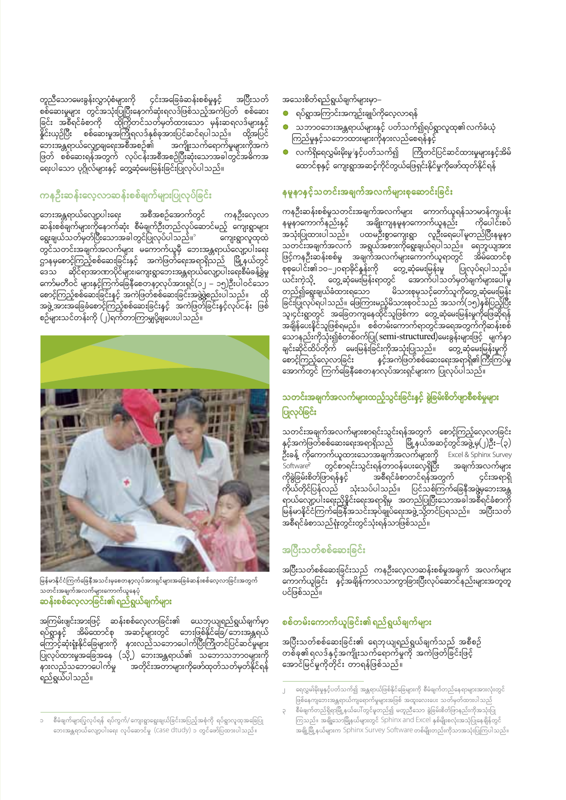၄င်းအခြေခံဆန်းစစ်မှုနှင့် တူညီသောမေးခွန်းလွှာပုံစံများကို အပြီးသတ် ိုးညိဳသိောလနားနားနားကို ကိုးကား ကိုးကားကို ကိုးကားကို တစ်ဆေး<br>စစ်ဆေးမှုများ တွင်အသုံးပြုပြီးနောက်ဆုံးရလဒ်ဖြစ်သည့်အကဲပြတ် စစ်ဆေး<br>ခြင်း အစီရင်ခံစာကို ထိုကြိုတင်သတ်မှတ်ထားသော မှန်းဆရလဒ်များနှင့်<br>နိူင်းယှဉ်ပြီး စစ်ဆေးမှုအကြိုရ ္မ<br>ဘေးအန္တရာယ်လျှော့ချရေးအစီအစဉ်၏ အကျိုးသက်ရောက်မှုများကိုအကဲ<br>ဖြတ် စစ်ဆေးရန်အတွက် လုပ်ငန်းအစီအစဉ်ပြီးဆုံးသောအခါတွင်အဓိကအ ာ<br>အကျိုးသက်ရောက်မှုများကိုအကဲ ့<br>ရေးပါသော ပုဂ္ဂိုလ်များနှင့် တွေ့ဆုံမေးမြန်းခြင်းပြုလုပ်ပါသည်။

#### ကနဦးဆန်းလေ့လာဆန်းစစ်ချက်များပြုလုပ်ခြင်း

ဘေးအန္တရာယ်လျော့ပါးရေး အစီအစဉ်အောက်တွင် ကနဉီးလေ့လာ<br>ဆန်းစစ်ချက်များကိုနောက်ဆုံး စီမံချက်ဦးတည်လုပ်ဆောင်မည့် ကျေးရွာများ ဆီမိုးစေများကျားကိုရောက်တုံး - စာမျက်ဦးစားည - စုံစစ<br>ရွေးချယ်သတ်မှတ်ပြီးသောအခါတွင်ပြုလုပ်ပါသည်။ ကျေးရွာလူထုထဲ ာျပင္လာတာေတာ့ ေတြက ေတြက ေတြကို ေသးဆန္တရာယိုလျော့ပါးေရး<br>တွင်သတင်းအချက်အလက်များ မကောက်ယူမှီ ဘေးအန္တရာယ်လျော့ပါးေရး<br>ကနမှစောင့်ကြည့်စစ်ဆေးခြင်းနှင့် အကဲဖြတ်ရေးအရာရှိသည် မြို့နယ်တွင် မာနမ္ေလးကြင္း<br>အေသ ဆိုင္ငံရာအာဏာပိုင်များ၊ကျေးရွာဘေးအန္တရာယ်လျော့ပါးေရးစီမံခန့်ခွဲမှု<br>ကော်မတီဝင် များနှင့်ကြက်ခြေနီစေတနာ့လုပ်အားရှင်(၁၂ – ၁၅)ဦးပါဝင်သော<br>မောင့်ကြည့်စစ်ဆေးခြင်းနှင့် အကဲဖြတ်စစ်ဆေးခြင်းအဖွဲ့ဖွဲ့စည်းပါသည်။ ထို ာ …<br>စဉ်များသင်တန်းကို (၂)ရက်တာကြာမျှပို့ချပေးပါသည်။



မြန်မာနိုင်ငံကြက်ခြေနီအသင်းမှစေတနာ့လုပ်အားရှင်များအခြေခံဆန်းစစ်လေ့လာခြင်းအတွက် ပ ၊ ၊ ၊ မ ပ ၊ ပ ၊<br>သတင်းအချက်အလက်များကောက်ယူနေပုံ<br><mark>ဆန်းစစ်လေ့လာခြင်း၏ ရည်ရွယ်ချက်များ</mark>

အကြမ်းဖျင်းအားဖြင့် ဆန်းစစ်လေ့လာခြင်း၏ ယေဘုယျရည်ရွယ်ချက်မှာ မကြွမ်းရမ်းမားမြှင့် လမ်းမောင်ငံ့လာမြှမ်း။ သောကျေးကြွရွာမျက်ကို<br>ရပ်ရွာနှင့် အိမ်ထောင်စု အဆင့်များတွင် ဘေးဖြစ်နိုင်ခြေ/ဘေးအန္တရယ်<br>ကြောင့်ဆုံးရုံးနိုင်ခြေများကို နားလည်သဘောပေါက်ပြီးကြိုတင်ပြင်ဆင်မှုများ<br>ပြုလုပ်ထားမှုအခြေအနေ ၂.<br>နားလည်သဘောပေါက်မှု . .<br>`အတိုင်းအတာများကိုဖော်ထုတ်သတ်မှတ်နိုင်ရန် ရည်ရွယ်ပါသည်။

#### အသေးစိတ်ရည်ရွယ်ချက်များမှာ–

- ရပ်ရွာအကြာင်းအကျဉ်းချုပ်ကိုလေ့လာရန်
- သဘာဝဘေးအန္တရာယ်များနှင့် ပတ်သက်၍ရပ်ရွာလူထု၏လက်ခံယုံ
- လက်ရှိရေလွှမ်းမိုးမှု<sup>၊</sup>နှင့်ပတ်သက်၍ ကြိုတင်ပြင်ဆင်ထားမှုများနှင့်အိမ် ႜ<br>ထောင်စုနှင့် ကျေးရွာအဆင့်ကိုင်တွယ်ဖြေရှင်းနိုင်မှုကိုဖော်ထုတ်နိုင်ရန်

#### နမူနာနှင့်သတင်းအချက်အလက်များစုဆောင်းခြင်း

ကနဦးဆန်းစစ်မှုသတင်းအချက်အလက်များ ကောက်ယူရန်သာမာန်ကျပန်း ၖိအချိုးကျနမူနာကောက်ယူနည်း ကိုပေါင်းစပ်<br>ပထမဦးစွာကျေးရွာ လူဦးရေပေါ်မူတည်ပြီးနမူနာ နမူနာကောက်နည်းနှင့် အသုံးပြုထားပါသည်။ သတင်းအချက်အလက် အရွယ်အစားကိုရွေးချယ်ရပါသည်။ ရေဘူယျအား .<br>ဖြင့်ကနဦးဆန်းစစ်မှု အချက်အလက်များကောက်ယူရာတွင် အိမ်ထောင်စု ့<br>တွေ့ဆုံမေးမြန်းမှု ပြုလုပ်ရပါသည်။ ့တွေ့ဆုံမေးမြန်းရာတွင် အောက်ပါသတ်မှတ်ချက်များပေါ်မူ ယင်းကဲ့သို့ မာတာတုန္း<br>တည်၍ရွေးချယ်ခံထားရသော မိသားစုမှသင့်တော်သူကိုတွေ့ဆုံမေးမြန်း<br>ခြင်းပြုလုပ်ရပါသည်။ ဖြေကြားမည့်မိသားစုဝင်သည် အသက်(၁၅)နှစ်ပြည့်ပြီး<br>သူ၊၄င်းရွာတွင် အခြေတကျနေထိုင်သူဖြစ်ကာ တွေ့ဆုံမေးမြန်းမှုကိုဖြေဆိုရန် ာ ခိုန်ပေးနိုင်သူဖြစ်ရမည်။ စစ်တမ်းကောက်ရာတွင်အရေအတွက်ကိုဆန်းစစ် သောနည်းကိုသုံး၍စံတစ်ဝက်ပြု(semi-structured)မေးခွန်းများဖြင့် မျက်နှာ -<br>ချင်းဆိုင်ထိပ်တိုက် မေးမြန်းခြင်းကိုအသုံးပြုသည်။ တွေ့ဆုံမေးမြန်းမှုကို<br>စောင့်ကြည့်လေ့လာခြင်း နှင့်အကဲဖြတ်စစ်ဆေးရေးအရာရှိ၏ကြီးကြပ်မှု -<br>စောင့်ကြည့်လေ့လာခြင်း းလား<br>အာက်တွင် ကြက်ခြေနီစေတနာလုပ်အားရှင်များက ပြုလုပ်ပါသည်။

#### သတင်းအချက်အလက်များထည့်သွင်းခြင်းနင့် ခွဲခြမ်းစိတ်ဖျာစီစစ်မှုများ ပြုလုပ်ခြင်း

သတင်းအချက်အလက်များစာရင်းသွင်းရန်အတွက် စောင့်ကြည့်လေ့လာခြင်း<br>နှင့်အကဲဖြတ်စစ်ဆေးရေးအရာရှိသည် မြို့နယ်အဆင့်တွင်အဖွဲ့မှ(၂)ဦး–(၃) ဦးခန့် ကိုကောက်ယူထားသောအချက်အလက်များကို Excel & Sphinx Survey တွင်စာရင်းသွင်းရန်တာဝန်ပေးလေ့ရှိပြီး အချက်အလက်များ Software? ာစီရင်ခံစာတင်ရန်အတွက် ကိုခွဲခြမ်းစိတ်ဖြာရန်နှင့် ၄င်းအရာရှိ ကိုယ်တိုင်ပြန်လည် ာ<br>- သုံးသပ်ပါသည်။ ပြင်သစ်ကြက်ခြေနီအဖွဲ့မှဘေးအန္တ ကုယတုငပြနလည<br>- ရာယ်လျော့ပါးရေးညိနိုင်းရေးအရာရှိမှ အတည်ပြုပြီးသောအခါအစီရင်ခံစာကို<br>- မြန်မာနိုင်ငံကြက်ခြေနီအသင်းအုပ်ချုပ်ရေးအဖွဲ့ သို့တင်ပြရသည်။ - အပြီးသတ်<br>- အစီရင်ခံစာသည်ရုံးတွင်းတွင်သုံးရန်သာဖြစ်သည်။

### အပြီးသတ်စစ်ဆေးခြင်း

အပြီးသတ်စစ်ဆေးခြင်းသည် ကနဦးလေ့လာဆန်းစစ်မှုအချက် အလက်များ<br>ကောက်ယူခြင်း နှင့်အချိန်ကာလသာကွာခြားပြီးလုပ်ဆောင်နည်းများအတူတူ ပင်ဖြစ်သည်။

### စစ်တမ်းကောက်ယူခြင်း၏ ရည်ရွယ်ချက်များ

အပြီးသတ်စစ်ဆေးခြင်း၏ ရေဘုယျရည်ရွယ်ချက်သည် အစီစဉ် ာ<br>တစ်ခု၏ရလဒ်နှင့်အကျိုးသက်ရောက်မှုကို အကဲဖြတ်ခြင်းဖြင့် 

စီမံချက်များပြုလုပ်ရန် ရပ်ကွက်/ ကျေးရွာရွေးချယ်ခြင်းအပြည့်အစုံကို ရပ်ရွာလူထုအခြေပြု ဘေးအန္တရာယ်လျော့ပါးရေး လုပ်ဆောင်မှု (Case dtudy) ၁ တွင်ဖော်ပြထားပါသည်။

ရေလွှမ်းမိုးမှုနှင့်ပတ်သက်၍ အန္တရာယ်ဖြစ်နိုင်ခြေများကို စီမံချက်တည်နေရာများအားလုံးတွင် ဖြစ်နေကျဘေးအန္တရာယ်ကျရောက်မှုများအဖြစ် အထူးလေးပေး သတ်မှတ်ထားပါသည်

<sup>-&</sup>lt;br>စီမံချက်တည်ရှိရာမြို့နယ်ပေါ်တွင်မူတည်၍ မတူညီသော ခွဲခြမ်းစိတ်ဖြာနည်းကိုအသုံးပြု ကြသည်။ အချို့သောမြို့နယ်များတွင် Sphinx and Excel နှစ်မျိုးစလုံးအသုံပြုနေချိန်တွင် ာ<br>အချို့မြို့နယ်များက Sphinx Survey Software တစ်မျိုးတည်းကိုသာအသုံးပြုကြပါသည်။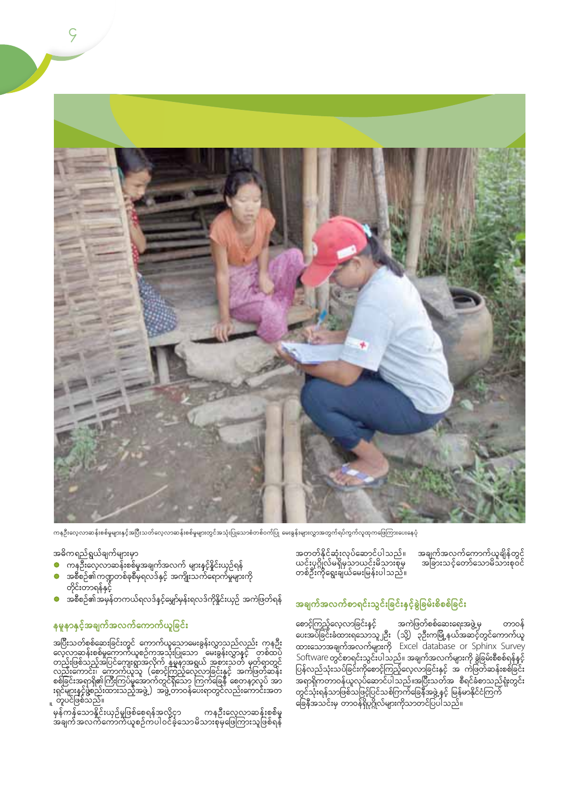

ကနဦးလေ့လာဆန်းစစ်မှုများနှင့်အပြီးသတ်လေ့လာဆန်းစစ်မှုများတွင်အသုံးပြုသောစံတစ်ဝက်ပြု မေးခွန်းများလွှာအတွက်ရပ်ကွက်လူထုကဖြေကြားပေးနေပုံ

- 
- အဓိကရည်ရွယ်ချက်များမှာ<br>● ကနဦးလေ့လာဆန်းစစ်မှုအချက်အလက် များနင့်နိူင်းယှဉ်ရန်<br>● အစီစဉ်၏က္ခဏ္ဍတစ်ခုစီမှရလဒ်နှင့် အကျိုးသက်ရောက်မှုများကို တိုင်းတာရန်နှင့်
- ှ<br>အစီစဉ်၏အမှန်တကယ်ရလဒ်နှင့်မျှော်မှန်းရလဒ်ကိုနိူင်းယှဉ် အကဲဖြတ်ရန်  $\bullet$

#### နမူနာနှင့်အချက်အလက်ကောက်ယူခြင်<mark>း</mark>

ာမြီးသတ်စစ်ဆေးခြင်းတွင် ကောက်ယူသောမေးခွန်းလွှာသည်လည်း ကနဉ်း<br>လေ့လာဆန်းစစ်မှကောက်ယူစဉ်ကအသုံးပြုသော မေးခွန်းလွှာနှင့် တစ်ထပဲ<br>တည်းဖြစ်သည့်အပြင်ကျေးရွာအလိုက် နမူနာအရွယ် အစားသတ် မှတ်ရာတွင်<br>လည်းကောင်း၊ ကောက်ယူသူ (စောင့်ကြည့်လေ့လ

၊<br>'မှန်ကန်သောနိုင်းယှဉ်မှုဖြစ်စေရန်အလို့ငှာ ကနဦးလေ့လာဆန်းစစ်မှု<br>အချက်အလက်ကောက်ယူစဉ်ကပါဝင်ခဲ့သောမိသားစုမှဖြေကြားသူဖြစ်ရန်

အတတ်နိုင်ဆုံးလုပ်ဆောင်ပါသည်။<br>ယင်းပုဂ္ဂိုလ်မရှိမှသာယင်းမိသားစုမှ<br>တစ်ဦးကိုရွေးချယ်မေးမြန်းပါသည်။

#### အချက်အလက်စာရင်းသွင်းခြင်းနှင့်ခွဲခြမ်းစိစစ်ခြင်း

စောင့်ကြည့်လေ့လာခြင်းနှင့် အကဲဖြတ်စစ်ဆေးရေးအဖွဲ့ မှ တာဝန်<br>ပေးအပ်ခြင်းခံထားရသောသူ၂ဦး (သို့) ၃ဦးကမြို့နယ်အဆင့်တွင်ကောက်ယူ<br>ထားသောအချက်အလက်များကို Excel database or Sphinx Survey ထားသောအချကအလကများကု Excer database or Sprimix Survey<br>Software တွင်စာရင်းသွင်းပါသည်။ အချက်အလက်များကို ခွဲခြမ်းစီစစ်ရန်နှင့်<br>ပြန်လည်သုံးသပ်ခြင်းကိုစောင့်ကြည့်လေ့လာခြင်းနှင့် အ ကဲဖြတ်ဆန်းစစ်ခြင်း<br>အရာရှိကတာဝန်ယူလုပ်ဆောင်ပါသည်

အချက်အလက်ကောက်ယူချိန်တွင်<br>အခြားသင့်တော်သောမိသားစုဝင်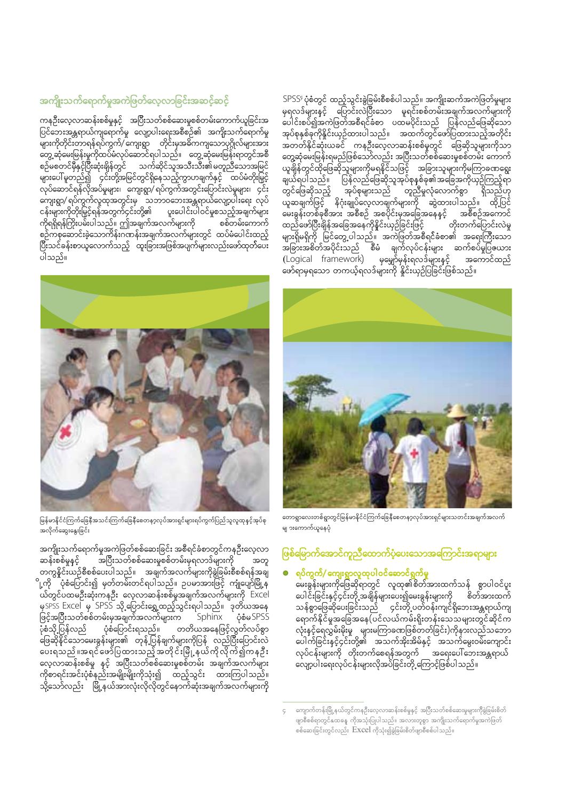### အကျိုးသက်ရောက်မှုအကဲဖြတ်လေ့လာခြင်းအဆင့်ဆင့်

ကနဦးလေ့လာဆန်းစစ်မှုနှင့် အပြီးသတ်စစ်ဆေးမှုစစ်တမ်းကောက်ယူခြင်းအ ိများကိုတိုင်းတာရန်ရပ်ကွက်/ကျေးရွာ တိုင်းမှအဓိကကျသောပုဂ္ဂိုလ်များအား ျားက နေသည်။ အသင်းပြည်သည်။ အသင်းပြည်သည်။<br>တွေ့ဆုံမေးမြန်းမှုကိုထပ်မံလုပ်ဆောင်ရပါသည်။ တွေ့ဆုံမေးမြန်းရာတွင်အစီ<br>"မိုးပြည်သည်။ အသင်းပြည်သည်။ အသင်းပြည်သည်။ မိုးပြည်သောအမြင့် ျားပေါ် မူတည်၍ ဝင်းတို့အမြင်တွင်ရှိနေသည့်ကွာဟချက်နှင့် ထပ်မံတိုးမြှင့်<br>များပေါ် မူတည်၍ ဝင်းတို့အမြင်တွင်ရှိနေသည့်ကွာဟချက်နှင့် ထပ်မံတိုးမြှင့် လုပ်ဆောင်ရန်လိုအပ်မှုများ၊ ကျေးရွာ/ ရပ်ကွက်အတွင်းပြောင်းလဲမှုများ၊ ၄င်း ှ<br>ကျေးရွာ/ ရုပ်ကွက်လူထုအတွင်းမှ ` သဘာဝဘေးအန္တရာယ်လျော့ပါးရေး ´လုပ် ပူးပေါင်းပါဝင်မှုစသည့်အချက်များ ကိုရရှိရန်ကြိုးပမ်းပါသည်။ ဤအချက်အလက်များကို စစ်တမ်းကောက် ပါသည်။

SPSS<sup>,</sup> ပုံစံတွင် ထည့်သွင်းခွဲခြမ်းစီစစ်ပါသည်။ အကျိုးဆက်အကဲဖြတ်မှုများ<br>မှရလဒ်များနှင့် <sub>့</sub> ပြောင်းလဲပြီးသော မူရင်းစစ်တမ်းအချက်အလက်များကို မှရလာများမှ လူသားသည်။<br>ပေါင်းစပ်၍အကဲဖြတ်အစီရင်ခံစာ ပထမပိုင်းသည် ပြွန်လည်ဖြေဆိုသော .<br>အုပ်စုနှစ်ခုကိုနိူင်းယှဉ်ထားပါသည်။ အထက်တွင်ဖော်ပြထားသည့်အတိုင်း အတတ်နိုင်ဆုံးယခင် ကနဦးလေ့လာဆန်းစစ်မှုတွင် ဖြေဆိုသူများကိုသာ အတတနုဆေးယခင ကနဉးလေ့လာဆနုးစစမှုတွင ဖြေဆုသူများကုသာ<br>တွေ့ဆုံမေးမြန်းရမည်ဖြစ်သော်လည်း အပြီးသတ်စစ်ဆေးမှုစစ်တမ်း ကောက်<br>မျယ်ရပါသည်။ ပြန်လည်ဖြေဆိုသူအုပ်စုနစ်ခု၏အခြေအကိုယှဉ်ကြည့်ရာ<br>ချယ်ရပါသည်။ ပြန်လည်ဖြေဆိုသူအုပ်စုနစ်ခု၏အခြေအကိုယှ ထည်ဖော်ပြီးချိန်အခြေအနေကိုနိူင်းယှဉ်ခြင်းဖြင့် တိုးတက်ပြောင်းလဲမှု များရှိမရှိကို မြင်တွေ့ပါသည်။ အကဲဖြတ်အစီရင်ခံစာ၏ အရေးကြီးသော ု ၂. ၂. ၂. ၂.<br>အခြားအစိတ်အပိုင်းသည် စီမံ ချက်လုပ်ငန်းများ ဆက်စပ်မှုပြဧယား (Logical framework) မှမျှော်မှန်းရလဒ်များနှင့် အကောင်ထည် (Logical mannework) - နှစ္စျာ-မှန်းရျာတငျားနှင့် - - -<br>ဖော်ရာမှရသော တကယ့်ရလဒ်များကို နိူင်းယှဉ်ပြခြင်းဖြစ်သည်။



မြန်မာနိုင်ငံကြက်ခြေနီအသင်းကြက်ခြေနီစေတန**့**လုပ်အားရှင်များရပ်ကွက်ပြည်သူလူထုနှင့်အုပ်စု အလိုက်ဆွေးနွေးခြင်း

အကျိုးသက်ရောက်မှုအကဲဖြတ်စစ်ဆေးခြင်း အစီရင်ခံစာတွင်ကနဦးလေ့လာ …<br>အပြီးသတ်စစ်ဆေးမှုစစ်တမ်းမှရလာဒ်များကို ဆန်းစစ်မှုနှင့် အတူ ာက္ပနိူင်းယဉ်စီစစ်ပေးပါသည်။ အချက်အလက်များကိုခွဲခြမ်းစီစစ်ရန်အချ ို့ကို <sup>ိ</sup>ံပုံစံပြောင်း၍ မှတ်တမ်းတင်ရပါသည်။ ဥပမာအားဖြင့် ကျုံပျော်မြို့န ု<br>ယ်တွင်ပထမဦးဆုံးကနဦး လေ့လာဆန်းစစ်မှုအချက်အလက်များကို Excel မှSPSS Excel မှ SPSS သို့ ပြောင်းရွှေ့ထည့်သွင်းရပါသည်။ ဒုတိယအနေ ဖြင့်အပြီးသတ်စစ်တမ်းမှအချက်အလက်များက Sphinx ှ်စံမSPSS ပုံစံပြောင်းရသည်။ ပိုစံသို့ပြန်လည် တတိယအနေဖြင့်လွတ်လပ်စွာ မြေဆိုနိုင်သောမေးခွန်းများ၏ တုနဲ့ပြန်ချက်များကိုပြန် လည်ပြီးပြောင်းလဲ ပေးရသည်။အရင်ဖေ့ဒီပြထွားသည့် အတိုင်းမြို့နယ်ကို လိုက်၍ကနဦး ိမ္း ျပည္နယ္ ၂ ေသာ ၂ ေသာ ၁ ေသာ ၂ ေသာ ၂ ေသာ ၂ ေ<br>လေ့လာဆန်းစစ်မှု နှင့် အပြီးသတ်စစ်ဆေးမှုစစ်တမ်း အချက်အလက်များ ကိုစာရင်းအင်းပုံစံနည်းအမျိုးမျိုးကိုသုံး၍ ထည့်သွင်း ထားကြပါသည်။<br>သို့သော်လည်း မြို့နယ်အားလုံးလိုလိုတွင်နောက်ဆုံးအချက်အလက်များကို



တောရွာလေးတစ်ရွာတွင်မြန်မာနိုင်ငံကြက်ခြေနီစေတနာ့လုပ်အားရှင်များသတင်းအချက်အလက် မျှ ၁းကောက်ယူနေပုံ

#### ဖြစ်မြောက်အောင်ကူညီထောက်ပံ့ပေးသောအကြောင်းအရာများ

#### ရပ်ကွက်/ ကျေးရွာလူထုပါဝင်ဆောင်ရွက်မှု

မေးခွန်းများကိုဖြေဆိုရာတွင် လူထု၏စိတ်အားထက်သန် စွာပါဝင်ပူး ပေါင်းခြင်းနှင့်၄င်းတို့ အချိန်များပေး၍မေးခွန်းများကို စိတ်အားထက် သန်စွာဖြေဆိုပေးခြင်းသည် ၄င်းတို့ ပတ်ဝန်းကျင်ရှိဘေးအန္တရာယ်ကျ ရောက်နိုင်မှုအခြေအနေ(ပင်လယ်ကမ်းရိုးတန်းသေသများတွင်ဆိုင်က ုး<br>လုံးနင့်ရေလွှမ်းမိုးမှု များမကြာခဏဖြစ်တတ်ခြင်း)ကိုနားလည်သဘော .<br>လုပ်ငန်းများကို တိုးတက်စေရန်အတွက် အရေးပေါ်ဘေးအန္တရာယ် ာ သည်။ အသင်းများ အသင်းများ အသင်းများ သည်။<br>"ကျော့ပါးရေးလုပ်ငန်းများလိုအပ်ခြင်းတို့ ကြောင့်ဖြစ်ပါသည်။

ကျောက်တန်းမြို့နယ်တွင်ကနဦးလေ့လာဆန်းစစ်မှုနှင့် အပြီးသတ်စစ်ဆေးမှုများကိုခွဲခြမ်းစိတ် ဖျာစီစစ်ရာတွင်နှထခနူ ကိုအသုံးပြုပါသည်။ အလားတူစွာ အကျိုးသက်ရောက်မှုအကဲဖြတ် စစ်ဆေးခြင်းတွင်လည်း Excel ကိုသုံး၍ခွဲခြမ်းစိတ်ဖျာစီစစ်ပါသည်။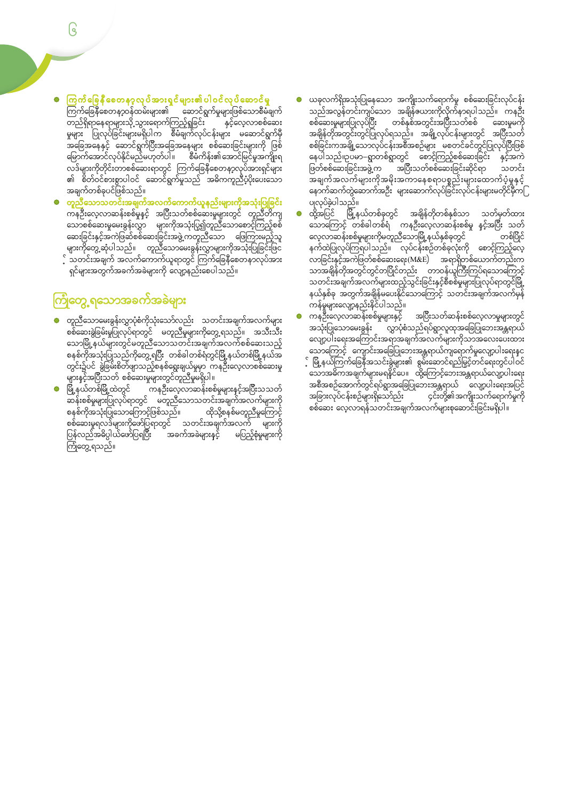- ကြက်ခြေနီစေတန**့**ဝန်ထမ်းများ၏ ဆောင်ရွက်မှုများဖြစ်သောစီမံချက် ကြက်မြေနပေတနာ့ပနယ်မေျား၏ ဆောင်ရွက်မှုများဖြစ်သောစမ်ချက်<br>တည်ရှိရာနေရာများသို့သွားရောက်ကြည့်ရှုခြင်း နှင့်လေ့လာစစ်ဆေး<br>မှုများ ပြုလုပ်ခြင်းများမရှိပါက စီမံချက်လုပ်ငန်းများ မဆောင်ရွက်မှီ<br>အခြေအနေနှင့် ဆောင်ရွက်ပြီးအခြေအနေများ ာင္း<br>လဒ်များကိုတိုင်းတာစစ်ဆေးရာတွင် ကြက်ခြေနီစေတနာ့လုပ်အားရှင်များ<br>၏ စိတ်ဝင်စားစွာပါဝင် ဆောင်ရွက်မှုသည် အဓိကကူညီပံ့ပိုးပေးသော အချက်တစ်ခုပင်ဖြစ်သည်။
- <mark>တူညီ</mark>သောသတင်းအချက်အလက်ကောက်ယူနည်းများကိုအသုံးပြုခြင်း  $\bullet$ <mark>ဟူညသောသတင်းအမျက်အလက်ကောက်ယူနည်းများကိုအသုံးပြုမြင်း</mark><br>ကနဦးလေ့လာဆန်းစစ်မှုနှင့် အပြီးသတ်စစ်ဆေးမှုများတွင် တူညီတိကျ<br>သောစစ်ဆေးမှုမေးခွန်းလွှာ များကိုအသုံးပြွ၍တူညီသောစောင့်ကြည့်စစ်<br>ဆေးခြင်းနှင့်အကဲဖြဆ်စစ်ဆေးခြင်းအဖွဲ့ကတူညီသော .<br>ရှင်များအတွက်အခက်အခဲများကို လျော့နည်းစေပါသည်။

# <mark>ကြုံတွေ့ ရသောအခက်အခဲများ</mark>

- တူညီသောမေးခွန်းလွှာပုံစံကိုသုံးသော်လည်း သတင်းအချက်အလက်များ<br>စစ်ဆေ့းခွဲခြမ်းမှုပြုလုပ်ရာတွင် မတူညီမှုများကိုတွေ့ရသည်။ အသီးသီး သောမြို့နယ်များတွင်မတူညီသောသတင်းအချက်အလက်စစ်ဆေးသည့် ျားနှင့်အပြီးသတ် စစ်ဆေးမှုများတွင်တူညီမှုမရှိပါ။
- ျားနား--ပု<br>မြို့နယ်တစ်မြို့ထဲတွင် ကနဦးလေ့လာဆန်းစစ်မှုများနှင့်အပြီးသသတဲ<br>ဆန်းစစ်မှုများပြုလုပ်ရာတွင် မတူညီသောသတင်းအချက်အလက်များကို စနှစ်ကိုအသုံးပြုသောကြောင့်ဖြစ်သည်။<br>စနစ်ကိုအသုံးပြုသောကြောင့်ဖြစ်သည်။ ထိုသို့စနစ်မတူညီမှုကြောင့် ္ - - - - - - - - - - - - - - - - ဟုဘာ့မဗသည။<br>စစ်ဆေးမှုရလဒ်များကိုဖော်ပြရာတွင် သတင်းအချက်အလက် များကို<br>ပြန်လည်အဓိပ္ပါယ်ဖော်ပြရပြီး အခက်အခဲများနှင့် မပြည့်စုံမှုများကို<br>ကြုံတွေ့ရသည်။
- ယခုလက်ရှိအသုံးပြုနေသော အကျိုးသက်ရောက်မှု စစ်ဆေးခြင်းလုပ်ငန်း<br>သည်အလွန်တင်းကျပ်သော အချိန်ဇယားကိုလိုက်နာရပါသည်။ ကနဦး<br>စစ်ဆေးမှုများပြုလုပ်ပြီး <sub>့</sub> တစ်နှစ်အတွင်းအပြီးသတ်စစ် ့ ဆေးမှုမကို နေပါသည်။ဥပမာ–ရွာတစ်ရွာတွင် စောင့်ကြည့်စစ်ဆေးခြင်း နှင့်အကဲ ္ပြဲ<br>ဖြတ်စစ်ဆေးခြင်းအဖွဲ့က အပြီးသတ်စစ်ဆေးခြင်းဆိုင်ရာ သတင်း ၣ<br>ႜႋ႞ၯၯၟၯၟၣ
- ထို့အပြင် မြို့နယ်တစ်ခုတွင် အချိန်တိုတစ်နှစ်သာ သတ်မှတ်ထား<br>ထို့အပြင် မြို့နယ်တစ်ခုတွင် အချိန်တိုတစ်နှစ်သာ သတ်မှတ်ထား သောကြောင့် တစ်ခါတစ်ရံ ကနဦးလေ့လာဆန်းစစ်မှု နှင့်အပြီး သတ် လေ့လာဆန်းစစ်မှုများကိုမတူညီသောမြို့နယ်နှစ်ခုတွင် ာ<br>၁၉၆၉၀ မလေသမန်းမာန်များကိုတော့သောမြို့နယ်နှံမလုတ်<br>နက်ထဲပြုလုပ်ကြရပါသည်။ လုပ်ငန်းစဉ်တစ်ခုလုံးကို စောင့်ကြည့်လေ့<br>လာခြင်းနှင့်အကဲဖြတ်စစ်ဆေးရေး(M&E) အရာရှိတစ်ယောက်တည်းက<br>သာအချိန်တိုအတွင်တွင်တပြိုင်တည်း တာဝန်ယူကြီးကြပ်ရသောကြောင့် သတင်းအချက်အလက်များထည့်သွင်းခြင်းနှင့်စီစစ်မှုများပြလုပ်ရာတွင်မြို့<br>နယ်နှစ်ခု အတွက်အချိန်မပေးနိုင်သောကြောင့် သတင်းအချက်အလက်မှန် ႑ − − − −<br>ကန်မှုများလျော့နည်းနိုင်ပါသည်။<br>ကနဦးလေ့လာဆန်းစစ်မှုများနှင့်
- အပြီးသတ်ဆန်းစစ်လေ့လာမှုများတွင် အသုံးပြုသောမေးခွန်း လွှာပုံစံသည်ရပ်ရွာလူထုအခြေပြုဘေးအန္တရာယ် ္မွာ ၂၂၂၂ ၂၂၂ ၂၂ ၂၂ ၂၂ ၂၂ ၂၂ ၂၂ ၁၉၂<br>လျော့ပါးရေးအကြောင်းအရာအချက်အလက်များကိုသာအလေးပေးထား ့<br>သောကြောင့် ကျောင်းအခြေပြုသေးအန္တရာယ်ကျရောက်မှုလျော့ပါးရေးနှင့ ိသာရက္ပြာလုိက်လျှောင်းအမြေပြသေးအိမ္တရာလကျရောက်မှုလျောင်းရေးမှာ<br>- မြို့နယ်ကြက်ခြေနီအသင်းခွဲများ၏ စွမ်းဆောင်ရည်မြှင့်တင်ရေးတွင်ပါဝင်<br>- သောအဓိကအချက်များမရနိုင်ပေ။ ထို့ကြောင့်ဘေးအန္တရာယ်လျော့ပါးရေး<br>- အစီအစဉ်အောက်တွင်ရပ်ရွာအခြ အခြားလုပ်ငန်းစဉ်များရှိသော်ည်း ၄င်းတို့၏အကျိုးသက်ရောက်မှုကို စစ်ဆေး လေ့လာရန်သတင်းအချက်အလက်များစုဆောင်းခြင်းမရှိပါ ။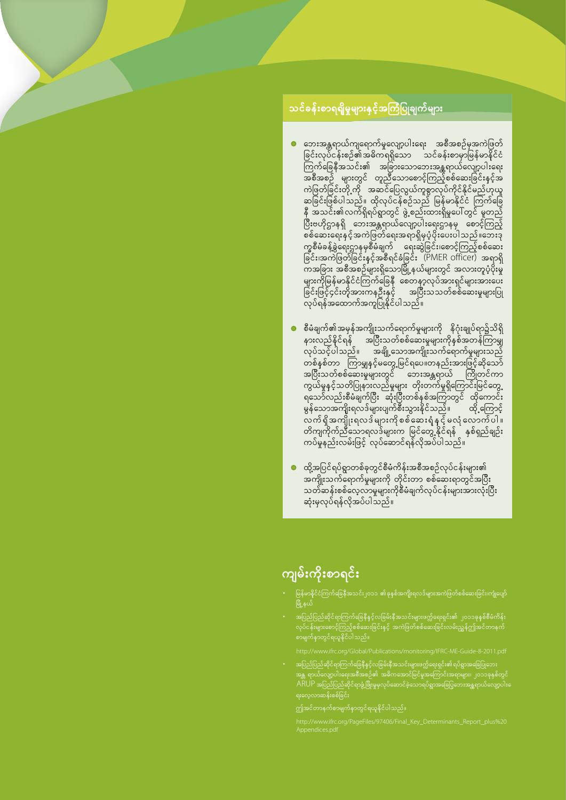#### <span id="page-6-0"></span>သင်ခန်းစာရရှိမှုများနှင့်အကြံပြုချက်များ

- ဘေးအန္တရာယ်ကျရောက်မှုလျော့ပါးရေး အစီအစဉ်မှအကဲဖြတ် ခြင်းလုပ်ငန်းစဉ်၏အဓိက ရရှိသော သင်ခန်းစာမှာမြန်မာနိုင်ငံ အစီအစဉ် များတွင် တူညီသောစောင့်ကြည့်စစ်ဆေးခြင်းနှင့်အ ကဲဖြတ်ခြင်းတို့ ကို အဆင်ပြေလွယ်ကူစွာလုပ်ကိုင်နိုင်မည်ဟုယူ ဆခြင်းဖြစ်ပါသည်။ ထိုလုပ်ငန်စဉ်သည် မြန်မာနိုင်ငံ ကြက်ခြေ နီ အသင်း၏လက်ရှိရပ်ရွာတွင် ဖွဲ့ စည်းထားရှိမှုပေါ်တွင် မူတည် ပြီးဗဟိုဌာနရှိ ဘေးအန္တရာယ်လျော့ပါးရေးဌာနမှ စောင့်ကြည့် စစ်ဆေးရေးနှင့်အကဲဖြတ်ရေးအရာရှိမှပံ့ပိုးပေးပါသည်။ဘေးဒု က္ခ္တစီမံခန့်ခွဲရေးဌာနမှစီမံချက် ရေးဆွဲခြင်း၊စောင့်ကြည့်စစ်ဆေး ခြင်း၊အကဲဖြတ်ခြင်းနှင့်အစီရင်ခံခြင်း (PMER officer) အရာရှိ .<br>ကအခြား အစီအစဉ်များရှိသောမြို့နယ်များတွင် အလားတူပံ့ပိုးမှု ိမ်းမြောက် အလေးမြောက်ပြီး မြို့နယ်များတွင် ထိုလေးများနဲ့ နကျ<br>များကိုမြန်မာနိုင်ငံကြက်ခြေနီ စေတနာ့လုပ်အားရှင်များအားပေး<br>ခြင်းဖြင့်၄င်းတိုအားကနဦးနှင့် အပြီးသသတ်စစ်ဆေးမှုများပြု<br>လုပ်ရန်အထောက်အကူပြုနိုင်ပါသည်။
- စီမံချက်၏အမှန်အကျိုးသက်ရောက်မှုများကို နိဂုံးချုပ်ရာ၌သိရှိ နားလည်နိင်ရန် အပြီးသတ်စစ်ဆေးမှုများကိုနှစ်အတန်ကြာမျှ<br>လုပ်သင့်ပါသည်။ အချို့သောအကျိုးသက်ရောက်မှုများသည် ္<br>တစ်နှစ်တာ ကြာမျှနင့်မတွေ့မြင်ရပေ။တနည်းအားဖြင့်ဆိုသော်<br>အပြီးသတ်စစ်ဆေးမှုများတွင် ဘေးအန္တရာယ် ကြိုတင်ကာ ကွယ်မှုနှင့်သတိပြုနားလည်မှုများ တိုးတက်မှုရှိကြောင်းမြင်တွေ့ ရသော်လည်းစီမံချက်ပြီး ဆုံးပြီးတစ်နှစ်အကြာတွင် ထိုကောင်း မွန်သောအကျိုးရလဒ်များပျက်စီးသွားနိုင်သည်။ ထို့ကြောင့် နဲ႕ တစ္ခုေတာ္ကို ျပန္လည္ေတာ္ေက်ာ္ေက်ာ္ေတြ<br>လက် ရှိအကျိုးရလဒ် များကို စစ်ဆေးရံ နှင့် မလံုလောက်ပါ ။<br>တိကျကိုက်ညီသောရလဒ်များက မြင်တွေ့ နိုင်ရန် နှစ်ရှည်ချဉ်း<br>ကပ်မှုနည်းလမ်းဖြင့် လုပ်ဆောင်ရန်လိုအပ်ပါသည်။
- ထို့အပြင်ရပ်ရွာတစ်ခုတွင်စီမံကိန်းအစီအစဉ်လုပ်ငန်းများ၏ ား<br>အကျိုးသက်ရောက်မှုများကို တိုင်းတာ စစ်ဆေးရာတွင်အပြီး သတ်ဆန်းစစ်လေ့လာမှုများကိုစီမံချက်လုပ်ငန်းများအားလုံးပြီး ဆုံးမှလုပ်ရန်လိုအပ်ပါသည်။

## ကျမ်းကိုးစာရင်း

- .<br>မြန်မာနိုင်ငံကြက်ခြေနီအသင်း၂၀၁၁ ၏ခုနှစ်အကျိုးရလဒ်များအကဲဖြတ်စစ်ဆေးခြင်း၊ကျုံပျော် <u>ြို့နယ်</u>
- အပြည်ပြည်ဆိုင်ရာကြက်ခြေနီနှင့်လခြမ်းနီအသင်းများဖက္လ်ရေးရှင်း၏ ၂၀၁၁ခုနှစ်စီမံကိန်း<br>လုပ်ငန်းများစောင့်ကြည့်စစ်ဆေးခြင်းနှင့် အကဲဖြတ်စစ်ဆေးခြင်းလမ်းညွှန်ဤအင်တာနက်
- 
- ၊ သပသပ<br>းဒ်ခြစ်စးန်ထလလွှား၉
	-
	-